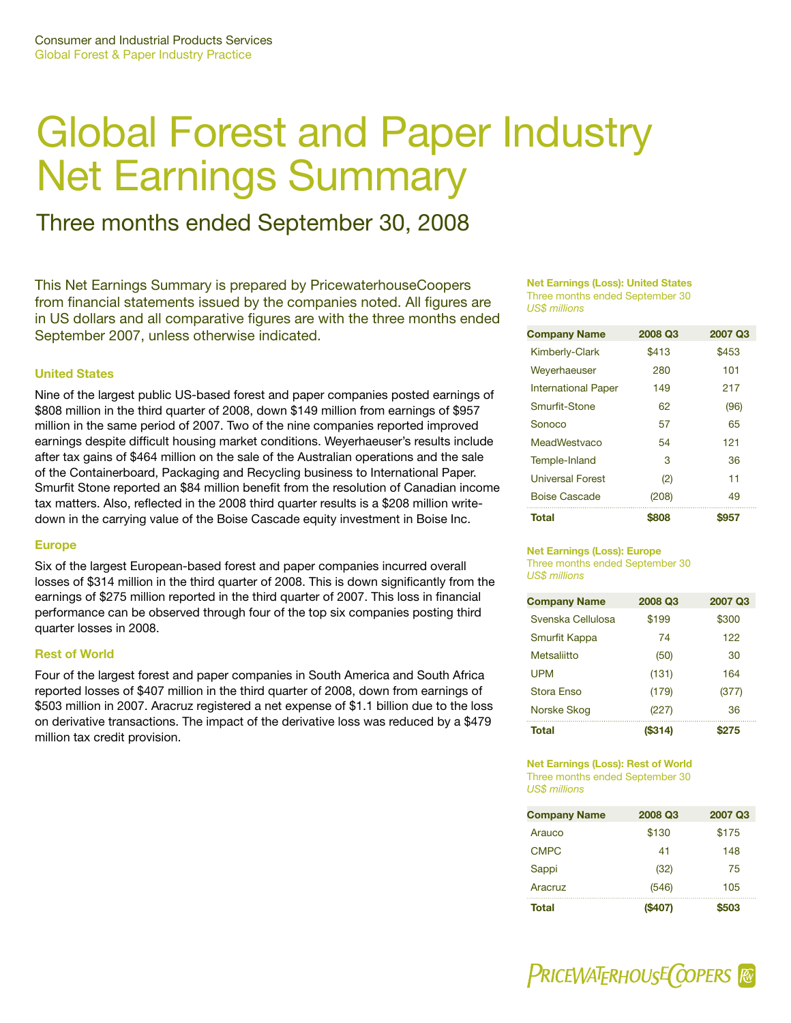# Global Forest and Paper Industry Net Earnings Summary

## Three months ended September 30, 2008

This Net Earnings Summary is prepared by PricewaterhouseCoopers from financial statements issued by the companies noted. All figures are in US dollars and all comparative figures are with the three months ended September 2007, unless otherwise indicated.

#### **United States**

Nine of the largest public US-based forest and paper companies posted earnings of \$808 million in the third quarter of 2008, down \$149 million from earnings of \$957 million in the same period of 2007. Two of the nine companies reported improved earnings despite difficult housing market conditions. Weyerhaeuser's results include after tax gains of \$464 million on the sale of the Australian operations and the sale of the Containerboard, Packaging and Recycling business to International Paper. Smurfit Stone reported an \$84 million benefit from the resolution of Canadian income tax matters. Also, reflected in the 2008 third quarter results is a \$208 million writedown in the carrying value of the Boise Cascade equity investment in Boise Inc.

#### **Europe**

Six of the largest European-based forest and paper companies incurred overall losses of \$314 million in the third quarter of 2008. This is down significantly from the earnings of \$275 million reported in the third quarter of 2007. This loss in financial performance can be observed through four of the top six companies posting third quarter losses in 2008.

#### **Rest of World**

Four of the largest forest and paper companies in South America and South Africa reported losses of \$407 million in the third quarter of 2008, down from earnings of \$503 million in 2007. Aracruz registered a net expense of \$1.1 billion due to the loss on derivative transactions. The impact of the derivative loss was reduced by a \$479 million tax credit provision.

#### **Net Earnings (Loss): United States** Three months ended September 30 *US\$ millions*

| <b>Company Name</b>        | 2008 Q3 | 2007 Q3 |
|----------------------------|---------|---------|
| <b>Kimberly-Clark</b>      | \$413   | \$453   |
| Weyerhaeuser               | 280     | 101     |
| <b>International Paper</b> | 149     | 217     |
| Smurfit-Stone              | 62      | (96)    |
| Sonoco                     | 57      | 65      |
| MeadWestyaco               | 54      | 121     |
| Temple-Inland              | 3       | 36      |
| <b>Universal Forest</b>    | (2)     | 11      |
| <b>Boise Cascade</b>       | (208)   | 49      |
| Total                      | \$808   | \$957   |

#### **Net Earnings (Loss): Europe**

Three months ended September 30 *US\$ millions*

| <b>Company Name</b> | 2008 Q3 | 2007 Q3 |
|---------------------|---------|---------|
| Svenska Cellulosa   | \$199   | \$300   |
| Smurfit Kappa       | 74      | 122     |
| Metsaliitto         | (50)    | 30      |
| <b>UPM</b>          | (131)   | 164     |
| Stora Enso          | (179)   | (377)   |
| Norske Skog         | (227)   | 36      |
| Total               | (S314)  | 275     |

#### **Net Earnings (Loss): Rest of World** Three months ended September 30 *US\$ millions*

| <b>Company Name</b> | 2008 Q3 | 2007 Q3 |
|---------------------|---------|---------|
| Arauco              | \$130   | \$175   |
| <b>CMPC</b>         | 41      | 148     |
| Sappi               | (32)    | 75      |
| Aracruz             | (546)   | 105     |
| Total               | (\$407) | 503     |

**PRICEWATERHOUSE COPERS R**